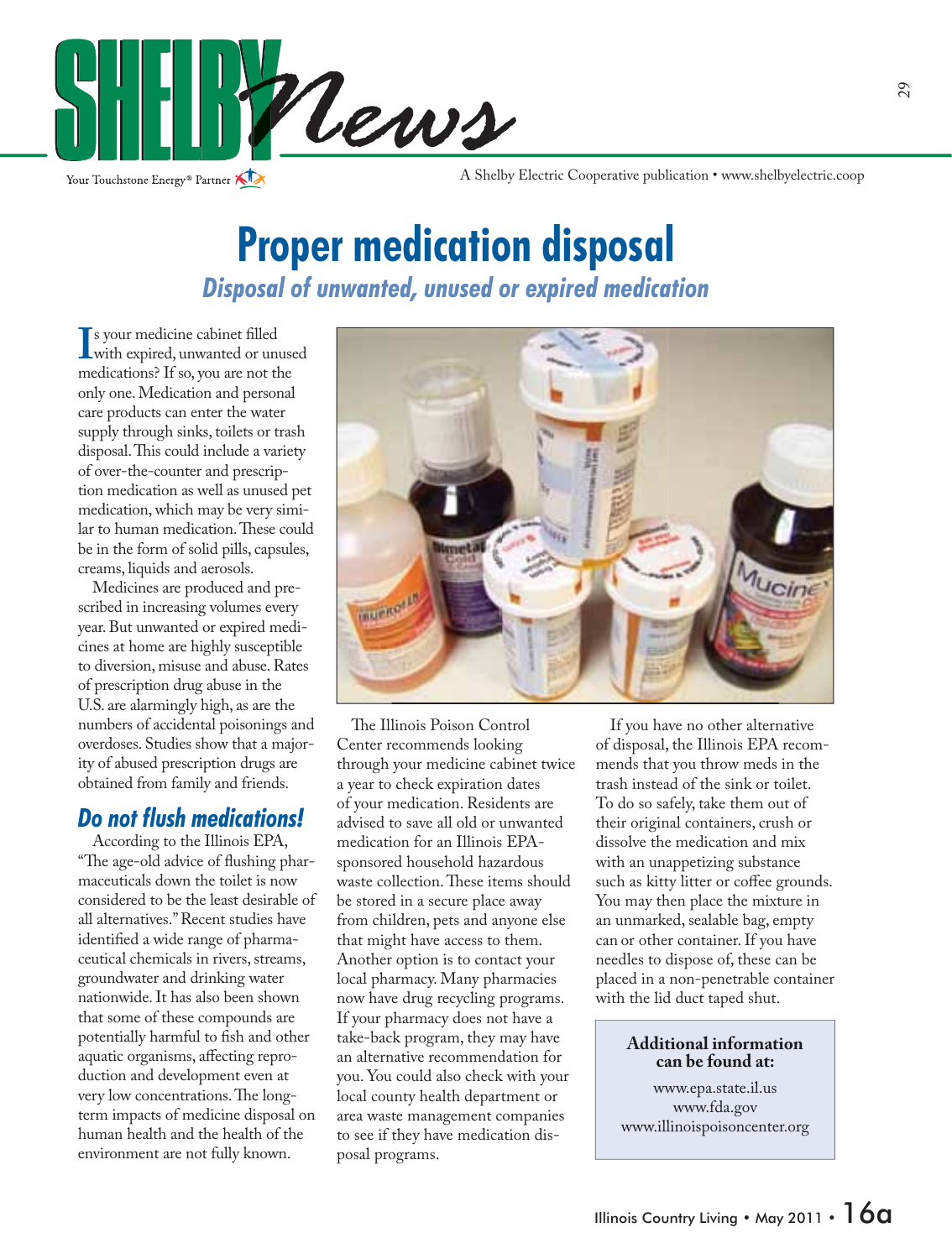

Your Touchstone Energy<sup>®</sup> Partner

A Shelby Electric Cooperative publication • www.shelbyelectric.coop

## **Proper medication disposal** *Disposal of unwanted, unused or expired medication*

If your medicine capinet nied<br>
with expired, unwanted or unused<br>
medications<sup>3</sup> If so you are not the s your medicine cabinet filled medications? If so, you are not the only one. Medication and personal care products can enter the water supply through sinks, toilets or trash disposal. This could include a variety of over-the-counter and prescription medication as well as unused pet medication, which may be very similar to human medication. These could be in the form of solid pills, capsules, creams, liquids and aerosols.

 Medicines are produced and prescribed in increasing volumes every year. But unwanted or expired medicines at home are highly susceptible to diversion, misuse and abuse. Rates of prescription drug abuse in the U.S. are alarmingly high, as are the numbers of accidental poisonings and overdoses. Studies show that a majority of abused prescription drugs are obtained from family and friends.

### *Do not flush medications!*

 According to the Illinois EPA, "The age-old advice of flushing pharmaceuticals down the toilet is now considered to be the least desirable of all alternatives." Recent studies have identified a wide range of pharmaceutical chemicals in rivers, streams, groundwater and drinking water nationwide. It has also been shown that some of these compounds are potentially harmful to fish and other aquatic organisms, affecting reproduction and development even at very low concentrations. The longterm impacts of medicine disposal on human health and the health of the environment are not fully known.



The Illinois Poison Control Center recommends looking through your medicine cabinet twice a year to check expiration dates of your medication. Residents are advised to save all old or unwanted medication for an Illinois EPAsponsored household hazardous waste collection. These items should be stored in a secure place away from children, pets and anyone else that might have access to them. Another option is to contact your local pharmacy. Many pharmacies now have drug recycling programs. If your pharmacy does not have a take-back program, they may have an alternative recommendation for you. You could also check with your local county health department or area waste management companies to see if they have medication disposal programs.

 If you have no other alternative of disposal, the Illinois EPA recommends that you throw meds in the trash instead of the sink or toilet. To do so safely, take them out of their original containers, crush or dissolve the medication and mix with an unappetizing substance such as kitty litter or coffee grounds. You may then place the mixture in an unmarked, sealable bag, empty can or other container. If you have needles to dispose of, these can be placed in a non-penetrable container with the lid duct taped shut.

### **Additional information can be found at:**

www.epa.state.il.us www.fda.gov www.illinoispoisoncenter.org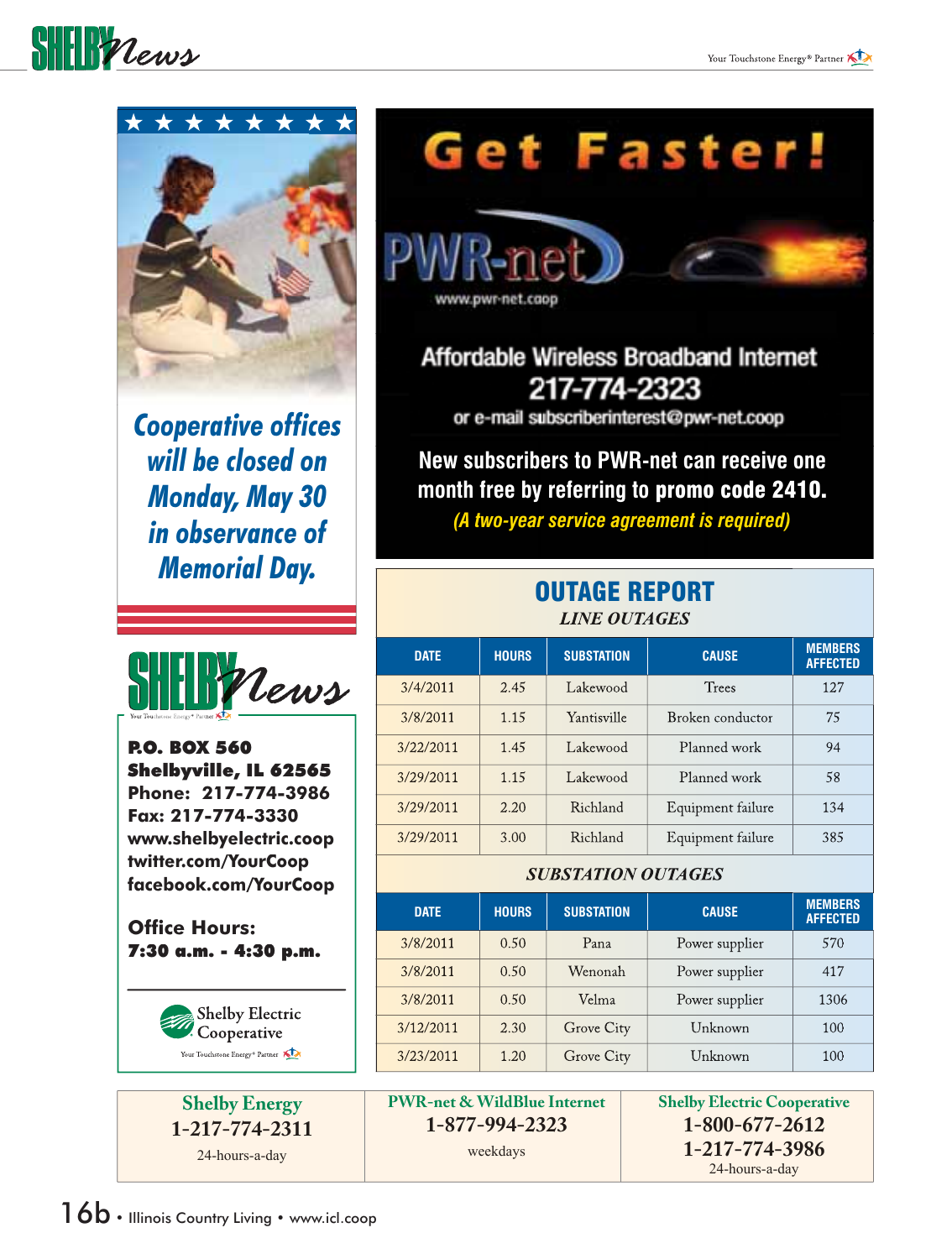



**Cooperative offices** *will be closed on Monday, May 30 in observance of Memorial Day.*



P.O. BOX 560 Shelbyville, IL 62565 **Phone: 217-774-3986 Fax: 217-774-3330 www.shelbyelectric.coop twitter.com/YourCoop facebook.com/YourCoop**

**Office Hours:** 7:30 a.m. - 4:30 p.m.



**Shelby Energy 1-217-774-2311** 24-hours-a-day

# Get Faster!



Affordable Wireless Broadband Internet 217-774-2323

or e-mail subscriberinterest@pwr-net.coop

**New subscribers to PWR-net can receive one month free by referring to** promo code 2410.

*(A two-year service agreement is required)*

### OUTAGE REPORT *LINE OUTAGES*

| <b>DATE</b> | <b>HOURS</b> | <b>SUBSTATION</b> | <b>CAUSE</b>      | <b>MEMBERS</b><br><b>AFFECTED</b> |
|-------------|--------------|-------------------|-------------------|-----------------------------------|
| 3/4/2011    | 2.45         | Lakewood          | Trees             | 12.7                              |
| 3/8/2011    | 1.15         | Yantisville       | Broken conductor  | 75                                |
| 3/22/2011   | 1.45         | Lakewood          | Planned work      | 94                                |
| 3/29/2011   | 1.15         | Lakewood          | Planned work      | 58                                |
| 3/29/2011   | 2.20         | Richland          | Equipment failure | 134                               |
| 3/29/2011   | 3.00         | Richland          | Equipment failure | 385                               |

### *SUBSTATION OUTAGES*

| <b>DATE</b> | <b>HOURS</b> | <b>SUBSTATION</b> | <b>CAUSE</b>   | <b>MEMBERS</b><br><b>AFFECTED</b> |
|-------------|--------------|-------------------|----------------|-----------------------------------|
| 3/8/2011    | 0.50         | Pana              | Power supplier | 570                               |
| 3/8/2011    | 0.50         | Wenonah           | Power supplier | 417                               |
| 3/8/2011    | 0.50         | Velma             | Power supplier | 1306                              |
| 3/12/2011   | 2.30         | Grove City        | Unknown        | 100                               |
| 3/23/2011   | 1.20         | Grove City        | Unknown        | 100                               |

**PWR-net & WildBlue Internet 1-877-994-2323**

weekdays

**Shelby Electric Cooperative 1-800-677-2612 1-217-774-3986** 24-hours-a-day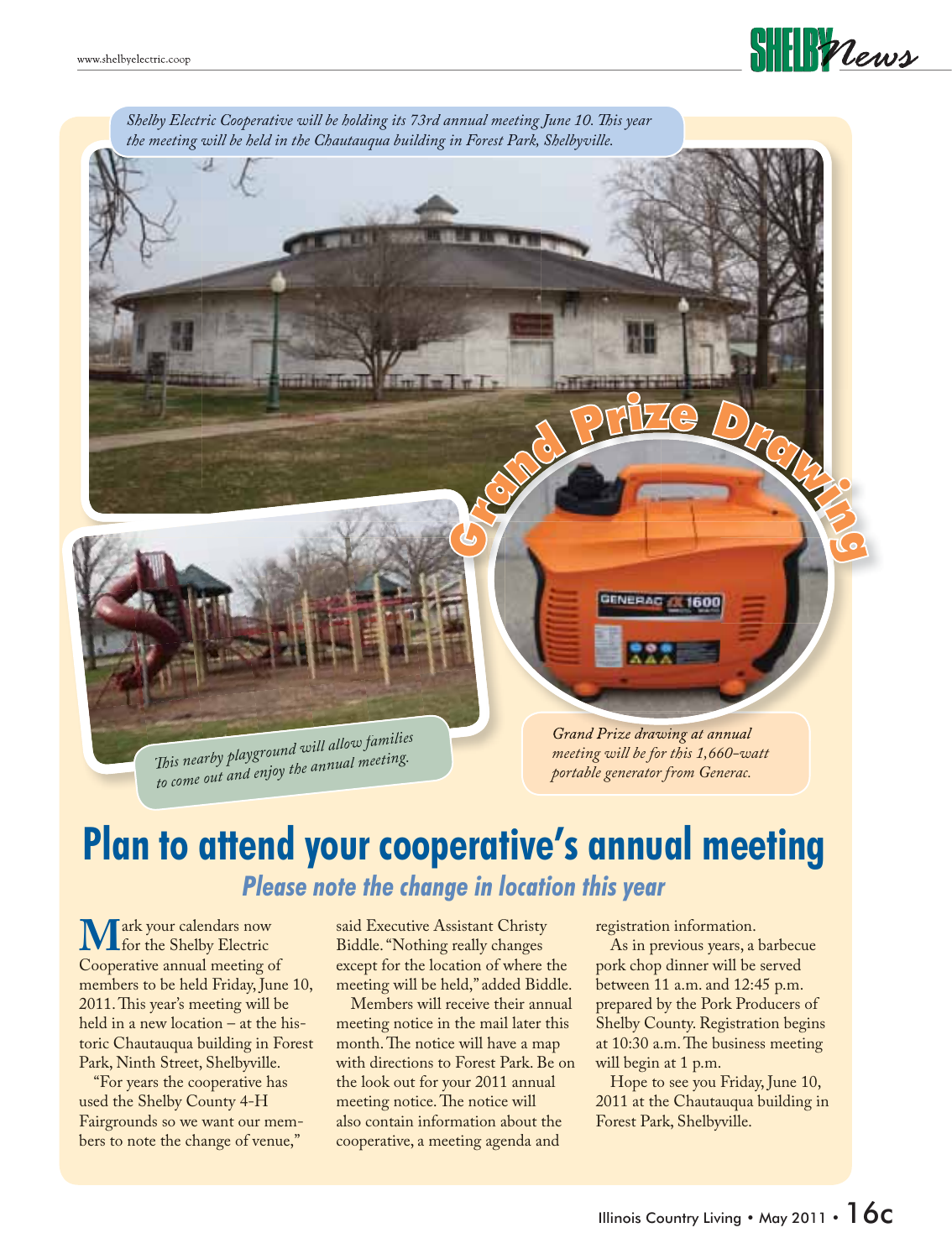



### **Plan to attend your cooperative's annual meeting** *Please note the change in location this year*

**M**ark your calendars now<br>Cooperative annual meeting o Cooperative annual meeting of members to be held Friday, June 10, 2011. This year's meeting will be held in a new location – at the historic Chautauqua building in Forest Park, Ninth Street, Shelbyville.

 "For years the cooperative has used the Shelby County 4-H Fairgrounds so we want our members to note the change of venue,"

said Executive Assistant Christy Biddle. "Nothing really changes except for the location of where the meeting will be held," added Biddle.

 Members will receive their annual meeting notice in the mail later this month. The notice will have a map with directions to Forest Park. Be on the look out for your 2011 annual meeting notice. The notice will also contain information about the cooperative, a meeting agenda and

registration information.

 As in previous years, a barbecue pork chop dinner will be served between 11 a.m. and 12:45 p.m. prepared by the Pork Producers of Shelby County. Registration begins at 10:30 a.m. The business meeting will begin at 1 p.m.

 Hope to see you Friday, June 10, 2011 at the Chautauqua building in Forest Park, Shelbyville.